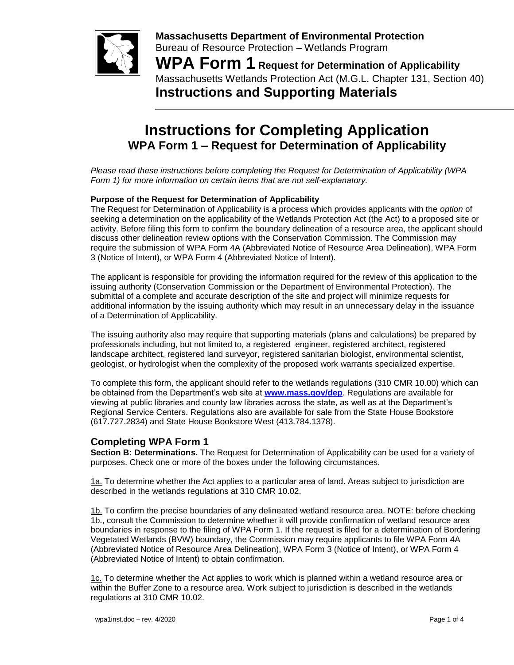

**Massachusetts Department of Environmental Protection**  Bureau of Resource Protection – Wetlands Program

**WPA Form 1 Request for Determination of Applicability** Massachusetts Wetlands Protection Act (M.G.L. Chapter 131, Section 40) **Instructions and Supporting Materials**

# **Instructions for Completing Application WPA Form 1 – Request for Determination of Applicability**

*Please read these instructions before completing the Request for Determination of Applicability (WPA Form 1) for more information on certain items that are not self-explanatory.*

### **Purpose of the Request for Determination of Applicability**

The Request for Determination of Applicability is a process which provides applicants with the *option* of seeking a determination on the applicability of the Wetlands Protection Act (the Act) to a proposed site or activity. Before filing this form to confirm the boundary delineation of a resource area, the applicant should discuss other delineation review options with the Conservation Commission. The Commission may require the submission of WPA Form 4A (Abbreviated Notice of Resource Area Delineation), WPA Form 3 (Notice of Intent), or WPA Form 4 (Abbreviated Notice of Intent).

The applicant is responsible for providing the information required for the review of this application to the issuing authority (Conservation Commission or the Department of Environmental Protection). The submittal of a complete and accurate description of the site and project will minimize requests for additional information by the issuing authority which may result in an unnecessary delay in the issuance of a Determination of Applicability.

The issuing authority also may require that supporting materials (plans and calculations) be prepared by professionals including, but not limited to, a registered engineer, registered architect, registered landscape architect, registered land surveyor, registered sanitarian biologist, environmental scientist, geologist, or hydrologist when the complexity of the proposed work warrants specialized expertise.

To complete this form, the applicant should refer to the wetlands regulations (310 CMR 10.00) which can be obtained from the Department's web site at **[www.mass.gov/dep](https://www.mass.gov/dep)**. Regulations are available for viewing at public libraries and county law libraries across the state, as well as at the Department's Regional Service Centers. Regulations also are available for sale from the State House Bookstore (617.727.2834) and State House Bookstore West (413.784.1378).

## **Completing WPA Form 1**

**Section B: Determinations.** The Request for Determination of Applicability can be used for a variety of purposes. Check one or more of the boxes under the following circumstances.

1a. To determine whether the Act applies to a particular area of land. Areas subject to jurisdiction are described in the wetlands regulations at 310 CMR 10.02.

1b. To confirm the precise boundaries of any delineated wetland resource area. NOTE: before checking 1b., consult the Commission to determine whether it will provide confirmation of wetland resource area boundaries in response to the filing of WPA Form 1. If the request is filed for a determination of Bordering Vegetated Wetlands (BVW) boundary, the Commission may require applicants to file WPA Form 4A (Abbreviated Notice of Resource Area Delineation), WPA Form 3 (Notice of Intent), or WPA Form 4 (Abbreviated Notice of Intent) to obtain confirmation.

1c. To determine whether the Act applies to work which is planned within a wetland resource area or within the Buffer Zone to a resource area. Work subject to jurisdiction is described in the wetlands regulations at 310 CMR 10.02.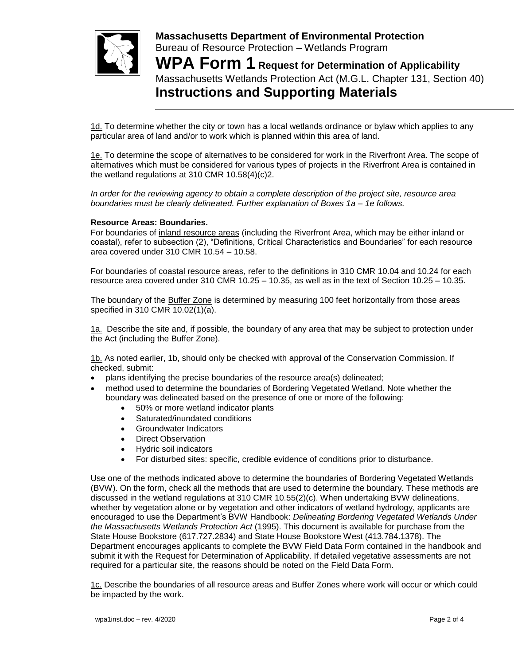

**Massachusetts Department of Environmental Protection**  Bureau of Resource Protection – Wetlands Program **WPA Form 1 Request for Determination of Applicability** Massachusetts Wetlands Protection Act (M.G.L. Chapter 131, Section 40) **Instructions and Supporting Materials**

1d. To determine whether the city or town has a local wetlands ordinance or bylaw which applies to any particular area of land and/or to work which is planned within this area of land.

1e. To determine the scope of alternatives to be considered for work in the Riverfront Area. The scope of alternatives which must be considered for various types of projects in the Riverfront Area is contained in the wetland regulations at 310 CMR 10.58(4)(c)2.

*In order for the reviewing agency to obtain a complete description of the project site, resource area boundaries must be clearly delineated. Further explanation of Boxes 1a – 1e follows.*

#### **Resource Areas: Boundaries.**

For boundaries of inland resource areas (including the Riverfront Area, which may be either inland or coastal), refer to subsection (2), "Definitions, Critical Characteristics and Boundaries" for each resource area covered under 310 CMR 10.54 – 10.58.

For boundaries of coastal resource areas, refer to the definitions in 310 CMR 10.04 and 10.24 for each resource area covered under 310 CMR 10.25 – 10.35, as well as in the text of Section 10.25 – 10.35.

The boundary of the **Buffer Zone** is determined by measuring 100 feet horizontally from those areas specified in 310 CMR 10.02(1)(a).

1a. Describe the site and, if possible, the boundary of any area that may be subject to protection under the Act (including the Buffer Zone).

1b. As noted earlier, 1b, should only be checked with approval of the Conservation Commission. If checked, submit:

- plans identifying the precise boundaries of the resource area(s) delineated;
- method used to determine the boundaries of Bordering Vegetated Wetland. Note whether the boundary was delineated based on the presence of one or more of the following:
	- 50% or more wetland indicator plants
	- Saturated/inundated conditions
	- Groundwater Indicators
	- Direct Observation
	- Hydric soil indicators
	- For disturbed sites: specific, credible evidence of conditions prior to disturbance.

Use one of the methods indicated above to determine the boundaries of Bordering Vegetated Wetlands (BVW). On the form, check all the methods that are used to determine the boundary. These methods are discussed in the wetland regulations at 310 CMR 10.55(2)(c). When undertaking BVW delineations, whether by vegetation alone or by vegetation and other indicators of wetland hydrology, applicants are encouraged to use the Department's BVW Handbook: *Delineating Bordering Vegetated Wetlands Under the Massachusetts Wetlands Protection Act* (1995). This document is available for purchase from the State House Bookstore (617.727.2834) and State House Bookstore West (413.784.1378). The Department encourages applicants to complete the BVW Field Data Form contained in the handbook and submit it with the Request for Determination of Applicability. If detailed vegetative assessments are not required for a particular site, the reasons should be noted on the Field Data Form.

1c. Describe the boundaries of all resource areas and Buffer Zones where work will occur or which could be impacted by the work.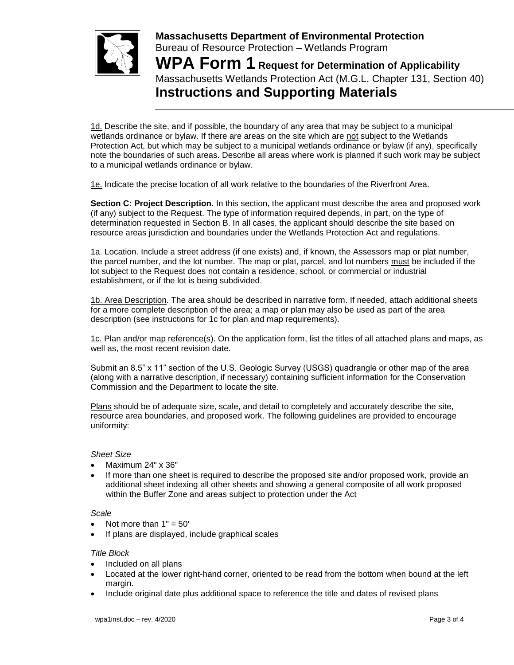

**Massachusetts Department of Environmental Protection**  Bureau of Resource Protection – Wetlands Program **WPA Form 1 Request for Determination of Applicability** Massachusetts Wetlands Protection Act (M.G.L. Chapter 131, Section 40) **Instructions and Supporting Materials**

1d. Describe the site, and if possible, the boundary of any area that may be subject to a municipal wetlands ordinance or bylaw. If there are areas on the site which are not subject to the Wetlands Protection Act, but which may be subject to a municipal wetlands ordinance or bylaw (if any), specifically note the boundaries of such areas. Describe all areas where work is planned if such work may be subject to a municipal wetlands ordinance or bylaw.

1e. Indicate the precise location of all work relative to the boundaries of the Riverfront Area.

**Section C: Project Description**. In this section, the applicant must describe the area and proposed work (if any) subject to the Request. The type of information required depends, in part, on the type of determination requested in Section B. In all cases, the applicant should describe the site based on resource areas jurisdiction and boundaries under the Wetlands Protection Act and regulations.

1a. Location. Include a street address (if one exists) and, if known, the Assessors map or plat number, the parcel number, and the lot number. The map or plat, parcel, and lot numbers must be included if the lot subject to the Request does not contain a residence, school, or commercial or industrial establishment, or if the lot is being subdivided.

1b. Area Description. The area should be described in narrative form. If needed, attach additional sheets for a more complete description of the area; a map or plan may also be used as part of the area description (see instructions for 1c for plan and map requirements).

1c. Plan and/or map reference(s). On the application form, list the titles of all attached plans and maps, as well as, the most recent revision date.

Submit an 8.5" x 11" section of the U.S. Geologic Survey (USGS) quadrangle or other map of the area (along with a narrative description, if necessary) containing sufficient information for the Conservation Commission and the Department to locate the site.

Plans should be of adequate size, scale, and detail to completely and accurately describe the site, resource area boundaries, and proposed work. The following guidelines are provided to encourage uniformity:

#### *Sheet Size*

- Maximum 24" x 36"
- If more than one sheet is required to describe the proposed site and/or proposed work, provide an additional sheet indexing all other sheets and showing a general composite of all work proposed within the Buffer Zone and areas subject to protection under the Act

#### *Scale*

- Not more than  $1" = 50'$
- If plans are displayed, include graphical scales

#### *Title Block*

- Included on all plans
- Located at the lower right-hand corner, oriented to be read from the bottom when bound at the left margin.
- Include original date plus additional space to reference the title and dates of revised plans